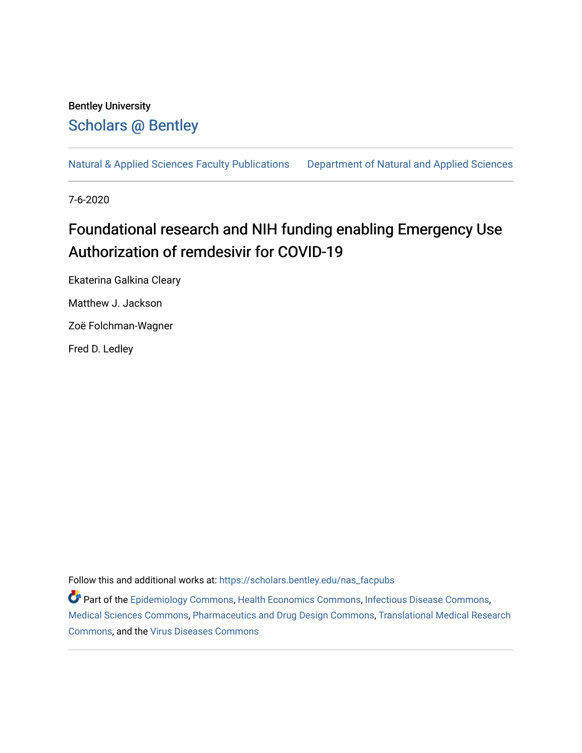# Bentley University [Scholars @ Bentley](https://scholars.bentley.edu/)

[Natural & Applied Sciences Faculty Publications](https://scholars.bentley.edu/nas_facpubs) [Department of Natural and Applied Sciences](https://scholars.bentley.edu/science) 

7-6-2020

# Foundational research and NIH funding enabling Emergency Use Authorization of remdesivir for COVID-19

Ekaterina Galkina Cleary Matthew J. Jackson Zoë Folchman-Wagner Fred D. Ledley

Follow this and additional works at: [https://scholars.bentley.edu/nas\\_facpubs](https://scholars.bentley.edu/nas_facpubs?utm_source=scholars.bentley.edu%2Fnas_facpubs%2F14&utm_medium=PDF&utm_campaign=PDFCoverPages)

Part of the [Epidemiology Commons,](http://network.bepress.com/hgg/discipline/740?utm_source=scholars.bentley.edu%2Fnas_facpubs%2F14&utm_medium=PDF&utm_campaign=PDFCoverPages) [Health Economics Commons,](http://network.bepress.com/hgg/discipline/1085?utm_source=scholars.bentley.edu%2Fnas_facpubs%2F14&utm_medium=PDF&utm_campaign=PDFCoverPages) [Infectious Disease Commons,](http://network.bepress.com/hgg/discipline/689?utm_source=scholars.bentley.edu%2Fnas_facpubs%2F14&utm_medium=PDF&utm_campaign=PDFCoverPages) [Medical Sciences Commons](http://network.bepress.com/hgg/discipline/664?utm_source=scholars.bentley.edu%2Fnas_facpubs%2F14&utm_medium=PDF&utm_campaign=PDFCoverPages), [Pharmaceutics and Drug Design Commons](http://network.bepress.com/hgg/discipline/733?utm_source=scholars.bentley.edu%2Fnas_facpubs%2F14&utm_medium=PDF&utm_campaign=PDFCoverPages), [Translational Medical Research](http://network.bepress.com/hgg/discipline/1124?utm_source=scholars.bentley.edu%2Fnas_facpubs%2F14&utm_medium=PDF&utm_campaign=PDFCoverPages)  [Commons](http://network.bepress.com/hgg/discipline/1124?utm_source=scholars.bentley.edu%2Fnas_facpubs%2F14&utm_medium=PDF&utm_campaign=PDFCoverPages), and the [Virus Diseases Commons](http://network.bepress.com/hgg/discipline/998?utm_source=scholars.bentley.edu%2Fnas_facpubs%2F14&utm_medium=PDF&utm_campaign=PDFCoverPages)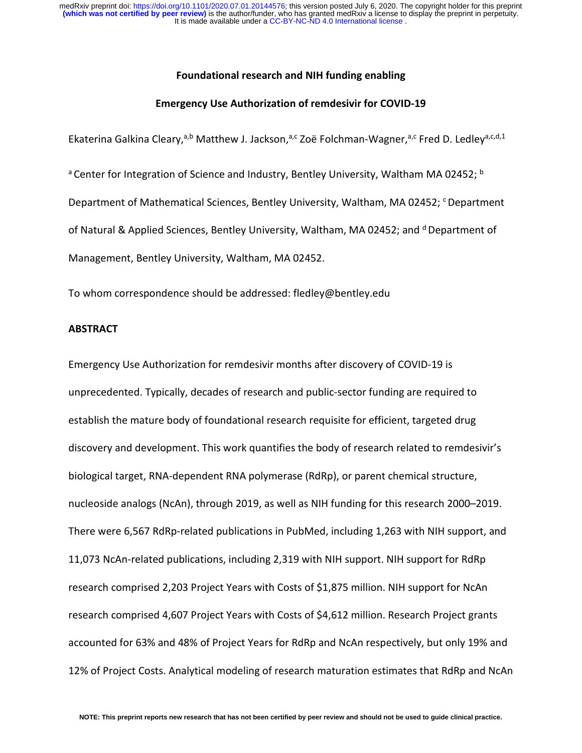#### **Foundational research and NIH funding enabling**

#### **Emergency Use Authorization of remdesivir for COVID-19**

Ekaterina Galkina Cleary,<sup>a,b</sup> Matthew J. Jackson,<sup>a,c</sup> Zoë Folchman-Wagner,<sup>a,c</sup> Fred D. Ledley<sup>a,c,d,1</sup>

<sup>a</sup> Center for Integration of Science and Industry, Bentley University, Waltham MA 02452; **b** Department of Mathematical Sciences, Bentley University, Waltham, MA 02452; C Department of Natural & Applied Sciences, Bentley University, Waltham, MA 02452; and d Department of Management, Bentley University, Waltham, MA 02452.

To whom correspondence should be addressed: fledley@bentley.edu

#### **ABSTRACT**

Emergency Use Authorization for remdesivir months after discovery of COVID-19 is unprecedented. Typically, decades of research and public-sector funding are required to establish the mature body of foundational research requisite for efficient, targeted drug discovery and development. This work quantifies the body of research related to remdesivir's biological target, RNA-dependent RNA polymerase (RdRp), or parent chemical structure, nucleoside analogs (NcAn), through 2019, as well as NIH funding for this research 2000–2019. There were 6,567 RdRp-related publications in PubMed, including 1,263 with NIH support, and 11,073 NcAn-related publications, including 2,319 with NIH support. NIH support for RdRp research comprised 2,203 Project Years with Costs of \$1,875 million. NIH support for NcAn research comprised 4,607 Project Years with Costs of \$4,612 million. Research Project grants accounted for 63% and 48% of Project Years for RdRp and NcAn respectively, but only 19% and 12% of Project Costs. Analytical modeling of research maturation estimates that RdRp and NcAn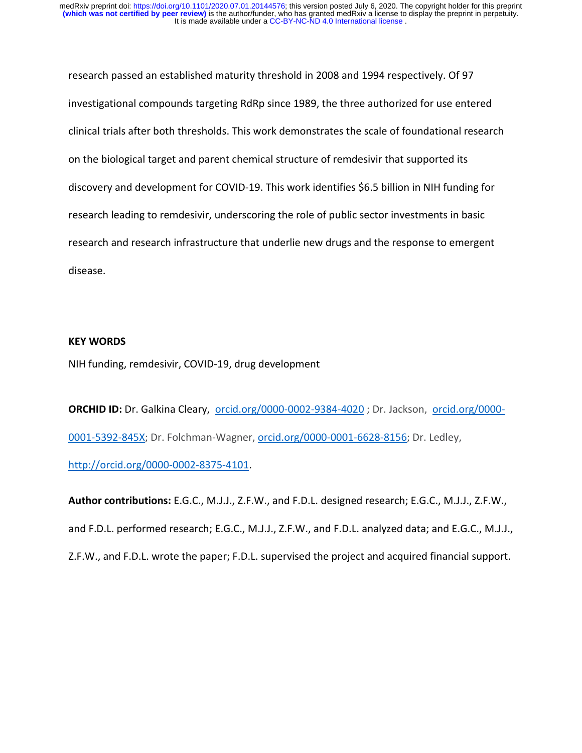research passed an established maturity threshold in 2008 and 1994 respectively. Of 97 investigational compounds targeting RdRp since 1989, the three authorized for use entered clinical trials after both thresholds. This work demonstrates the scale of foundational research on the biological target and parent chemical structure of remdesivir that supported its discovery and development for COVID-19. This work identifies \$6.5 billion in NIH funding for research leading to remdesivir, underscoring the role of public sector investments in basic research and research infrastructure that underlie new drugs and the response to emergent disease.

#### **KEY WORDS**

NIH funding, remdesivir, COVID-19, drug development

**ORCHID ID:** Dr. Galkina Cleary, [orcid.org/0000-](https://orcid.org/0000-0001-5392-845X)0002-9384-4020; Dr. Jackson, orcid.org/0000-[0001-5392-845X;](https://orcid.org/0000-0001-5392-845X) Dr. Folchman-Wagner, orcid.org/0000-0001-6628-8156; Dr. Ledley, [http://orcid.org/0000-0002-8375-4101.](http://orcid.org/0000-0002-8375-4101)

**Author contributions:** E.G.C., M.J.J., Z.F.W., and F.D.L. designed research; E.G.C., M.J.J., Z.F.W., and F.D.L. performed research; E.G.C., M.J.J., Z.F.W., and F.D.L. analyzed data; and E.G.C., M.J.J., Z.F.W., and F.D.L. wrote the paper; F.D.L. supervised the project and acquired financial support.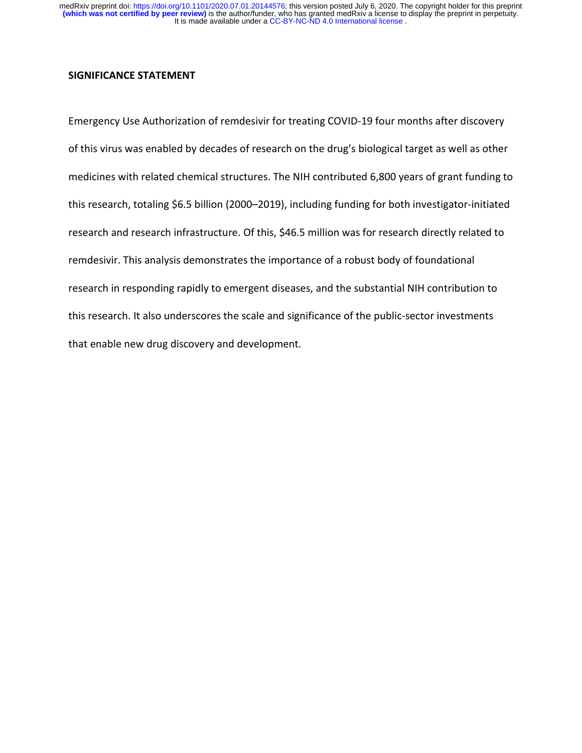#### **SIGNIFICANCE STATEMENT**

Emergency Use Authorization of remdesivir for treating COVID-19 four months after discovery of this virus was enabled by decades of research on the drug's biological target as well as other medicines with related chemical structures. The NIH contributed 6,800 years of grant funding to this research, totaling \$6.5 billion (2000–2019), including funding for both investigator-initiated research and research infrastructure. Of this, \$46.5 million was for research directly related to remdesivir. This analysis demonstrates the importance of a robust body of foundational research in responding rapidly to emergent diseases, and the substantial NIH contribution to this research. It also underscores the scale and significance of the public-sector investments that enable new drug discovery and development.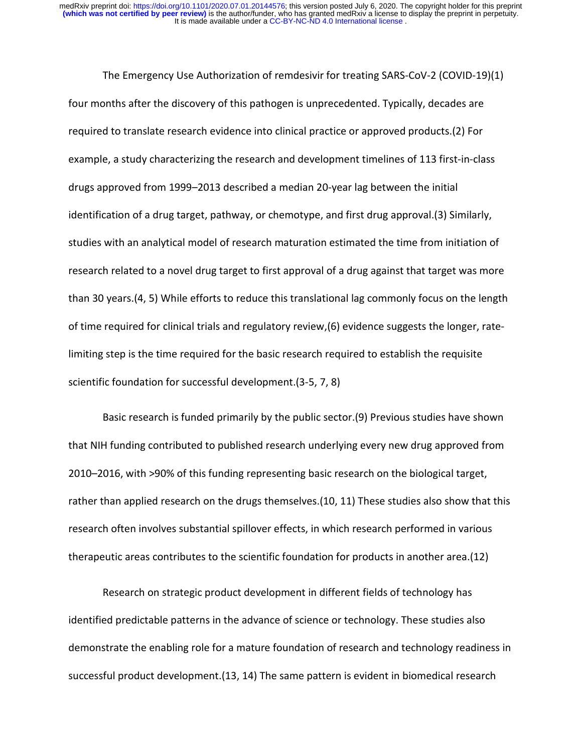The Emergency Use Authorization of remdesivir for treating SARS-CoV-2 (COVID-19)(1) four months after the discovery of this pathogen is unprecedented. Typically, decades are required to translate research evidence into clinical practice or approved products.(2) For example, a study characterizing the research and development timelines of 113 first-in-class drugs approved from 1999–2013 described a median 20-year lag between the initial identification of a drug target, pathway, or chemotype, and first drug approval.(3) Similarly, studies with an analytical model of research maturation estimated the time from initiation of research related to a novel drug target to first approval of a drug against that target was more than 30 years.(4, 5) While efforts to reduce this translational lag commonly focus on the length of time required for clinical trials and regulatory review,(6) evidence suggests the longer, ratelimiting step is the time required for the basic research required to establish the requisite scientific foundation for successful development.(3-5, 7, 8)

Basic research is funded primarily by the public sector.(9) Previous studies have shown that NIH funding contributed to published research underlying every new drug approved from 2010–2016, with >90% of this funding representing basic research on the biological target, rather than applied research on the drugs themselves.(10, 11) These studies also show that this research often involves substantial spillover effects, in which research performed in various therapeutic areas contributes to the scientific foundation for products in another area.(12)

Research on strategic product development in different fields of technology has identified predictable patterns in the advance of science or technology. These studies also demonstrate the enabling role for a mature foundation of research and technology readiness in successful product development.(13, 14) The same pattern is evident in biomedical research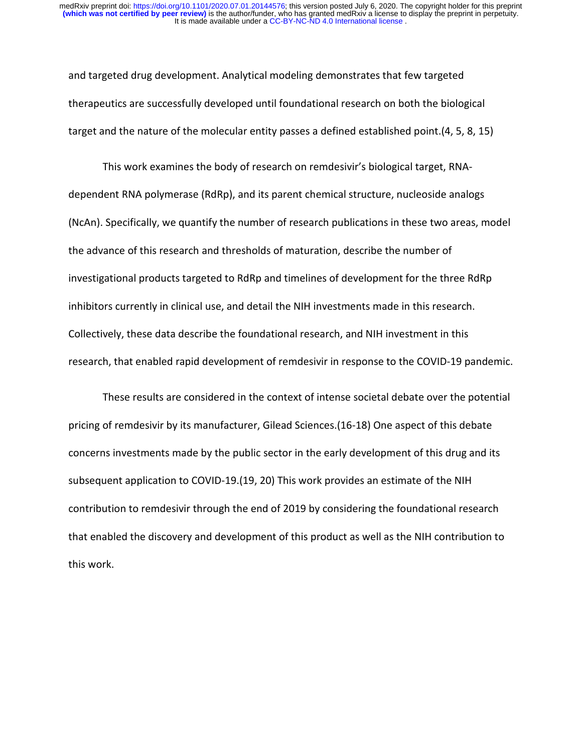and targeted drug development. Analytical modeling demonstrates that few targeted therapeutics are successfully developed until foundational research on both the biological target and the nature of the molecular entity passes a defined established point.(4, 5, 8, 15)

This work examines the body of research on remdesivir's biological target, RNAdependent RNA polymerase (RdRp), and its parent chemical structure, nucleoside analogs (NcAn). Specifically, we quantify the number of research publications in these two areas, model the advance of this research and thresholds of maturation, describe the number of investigational products targeted to RdRp and timelines of development for the three RdRp inhibitors currently in clinical use, and detail the NIH investments made in this research. Collectively, these data describe the foundational research, and NIH investment in this research, that enabled rapid development of remdesivir in response to the COVID-19 pandemic.

These results are considered in the context of intense societal debate over the potential pricing of remdesivir by its manufacturer, Gilead Sciences.(16-18) One aspect of this debate concerns investments made by the public sector in the early development of this drug and its subsequent application to COVID-19.(19, 20) This work provides an estimate of the NIH contribution to remdesivir through the end of 2019 by considering the foundational research that enabled the discovery and development of this product as well as the NIH contribution to this work.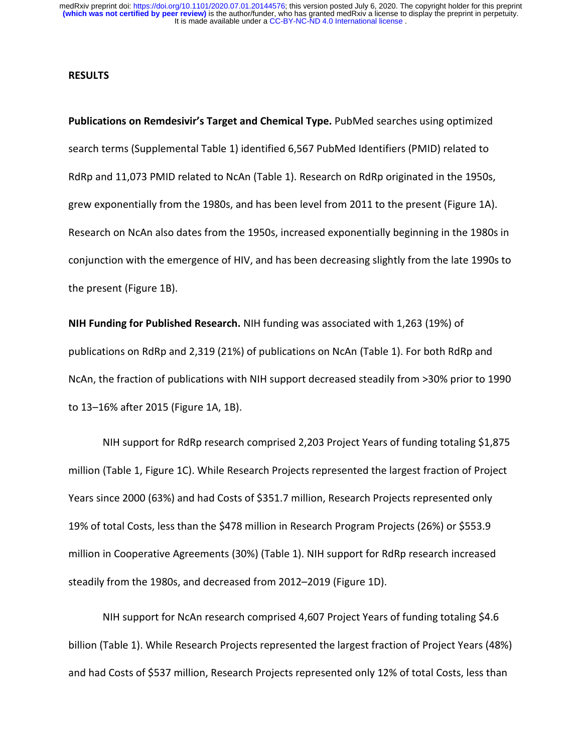#### **RESULTS**

**Publications on Remdesivir's Target and Chemical Type.** PubMed searches using optimized search terms (Supplemental Table 1) identified 6,567 PubMed Identifiers (PMID) related to RdRp and 11,073 PMID related to NcAn (Table 1). Research on RdRp originated in the 1950s, grew exponentially from the 1980s, and has been level from 2011 to the present (Figure 1A). Research on NcAn also dates from the 1950s, increased exponentially beginning in the 1980s in conjunction with the emergence of HIV, and has been decreasing slightly from the late 1990s to the present (Figure 1B).

**NIH Funding for Published Research.** NIH funding was associated with 1,263 (19%) of publications on RdRp and 2,319 (21%) of publications on NcAn (Table 1). For both RdRp and NcAn, the fraction of publications with NIH support decreased steadily from >30% prior to 1990 to 13–16% after 2015 (Figure 1A, 1B).

NIH support for RdRp research comprised 2,203 Project Years of funding totaling \$1,875 million (Table 1, Figure 1C). While Research Projects represented the largest fraction of Project Years since 2000 (63%) and had Costs of \$351.7 million, Research Projects represented only 19% of total Costs, less than the \$478 million in Research Program Projects (26%) or \$553.9 million in Cooperative Agreements (30%) (Table 1). NIH support for RdRp research increased steadily from the 1980s, and decreased from 2012–2019 (Figure 1D).

NIH support for NcAn research comprised 4,607 Project Years of funding totaling \$4.6 billion (Table 1). While Research Projects represented the largest fraction of Project Years (48%) and had Costs of \$537 million, Research Projects represented only 12% of total Costs, less than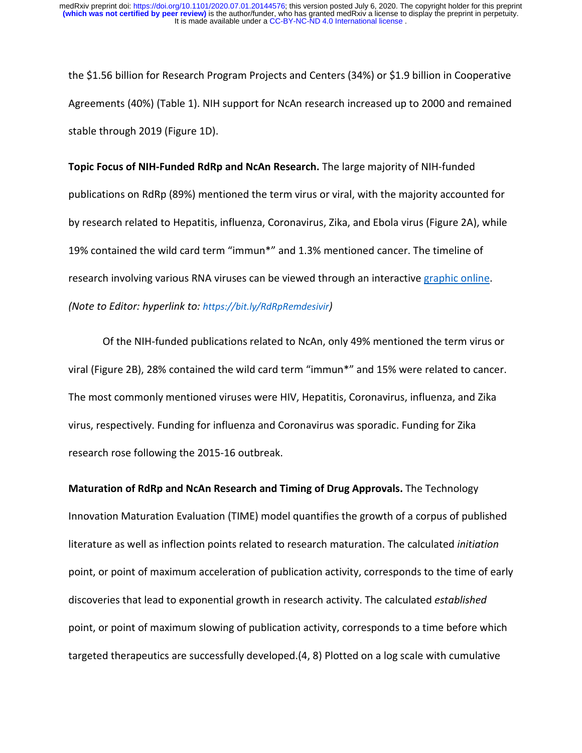the \$1.56 billion for Research Program Projects and Centers (34%) or \$1.9 billion in Cooperative Agreements (40%) (Table 1). NIH support for NcAn research increased up to 2000 and remained stable through 2019 (Figure 1D).

**Topic Focus of NIH-Funded RdRp and NcAn Research.** The large majority of NIH-funded publications on RdRp (89%) mentioned the term virus or viral, with the majority accounted for by research related to Hepatitis, influenza, Coronavirus, Zika, and Ebola virus (Figure 2A), while 19% contained the wild card term "immun\*" and 1.3% mentioned cancer. The timeline of research involving various RNA viruses can be viewed through an interactive [graphic online.](https://bit.ly/RdRpRemdesivir) *(Note to Editor: hyperlink to: [https://bit.ly/RdRpRemdesivir\)](https://bit.ly/RdRpRemdesivir)*

Of the NIH-funded publications related to NcAn, only 49% mentioned the term virus or viral (Figure 2B), 28% contained the wild card term "immun\*" and 15% were related to cancer. The most commonly mentioned viruses were HIV, Hepatitis, Coronavirus, influenza, and Zika virus, respectively. Funding for influenza and Coronavirus was sporadic. Funding for Zika research rose following the 2015-16 outbreak.

**Maturation of RdRp and NcAn Research and Timing of Drug Approvals.** The Technology Innovation Maturation Evaluation (TIME) model quantifies the growth of a corpus of published literature as well as inflection points related to research maturation. The calculated *initiation*  point, or point of maximum acceleration of publication activity, corresponds to the time of early discoveries that lead to exponential growth in research activity. The calculated *established* point, or point of maximum slowing of publication activity, corresponds to a time before which targeted therapeutics are successfully developed.(4, 8) Plotted on a log scale with cumulative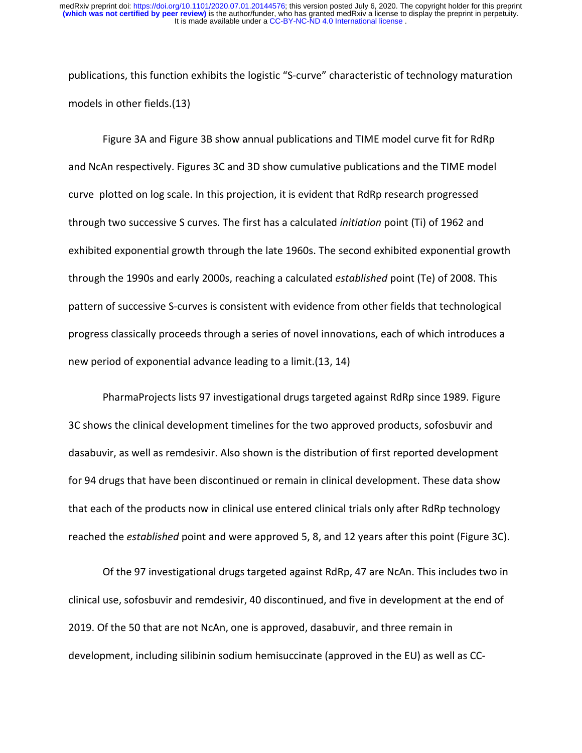publications, this function exhibits the logistic "S-curve" characteristic of technology maturation models in other fields.(13)

Figure 3A and Figure 3B show annual publications and TIME model curve fit for RdRp and NcAn respectively. Figures 3C and 3D show cumulative publications and the TIME model curve plotted on log scale. In this projection, it is evident that RdRp research progressed through two successive S curves. The first has a calculated *initiation* point (Ti) of 1962 and exhibited exponential growth through the late 1960s. The second exhibited exponential growth through the 1990s and early 2000s, reaching a calculated *established* point (Te) of 2008. This pattern of successive S-curves is consistent with evidence from other fields that technological progress classically proceeds through a series of novel innovations, each of which introduces a new period of exponential advance leading to a limit.(13, 14)

PharmaProjects lists 97 investigational drugs targeted against RdRp since 1989. Figure 3C shows the clinical development timelines for the two approved products, sofosbuvir and dasabuvir, as well as remdesivir. Also shown is the distribution of first reported development for 94 drugs that have been discontinued or remain in clinical development. These data show that each of the products now in clinical use entered clinical trials only after RdRp technology reached the *established* point and were approved 5, 8, and 12 years after this point (Figure 3C).

Of the 97 investigational drugs targeted against RdRp, 47 are NcAn. This includes two in clinical use, sofosbuvir and remdesivir, 40 discontinued, and five in development at the end of 2019. Of the 50 that are not NcAn, one is approved, dasabuvir, and three remain in development, including silibinin sodium hemisuccinate (approved in the EU) as well as CC-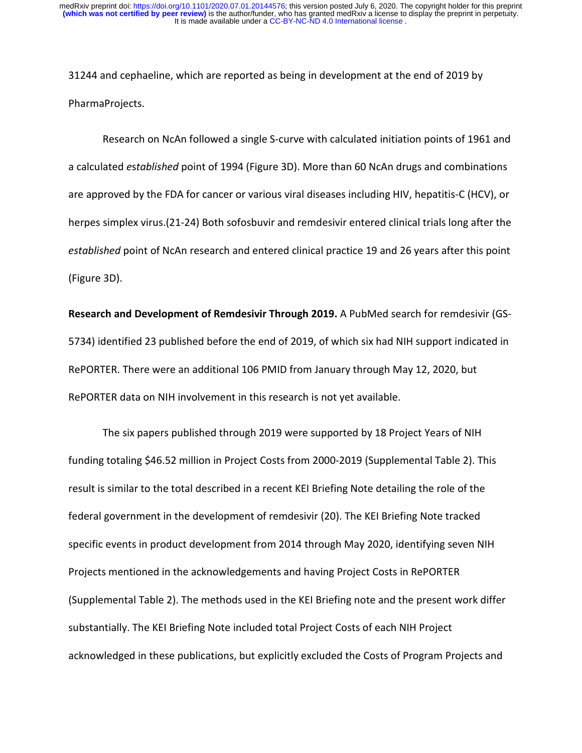31244 and cephaeline, which are reported as being in development at the end of 2019 by PharmaProjects.

Research on NcAn followed a single S-curve with calculated initiation points of 1961 and a calculated *e*s*tablished* point of 1994 (Figure 3D). More than 60 NcAn drugs and combinations are approved by the FDA for cancer or various viral diseases including HIV, hepatitis-C (HCV), or herpes simplex virus.(21-24) Both sofosbuvir and remdesivir entered clinical trials long after the *established* point of NcAn research and entered clinical practice 19 and 26 years after this point (Figure 3D).

**Research and Development of Remdesivir Through 2019.** A PubMed search for remdesivir (GS-5734) identified 23 published before the end of 2019, of which six had NIH support indicated in RePORTER. There were an additional 106 PMID from January through May 12, 2020, but RePORTER data on NIH involvement in this research is not yet available.

The six papers published through 2019 were supported by 18 Project Years of NIH funding totaling \$46.52 million in Project Costs from 2000-2019 (Supplemental Table 2). This result is similar to the total described in a recent KEI Briefing Note detailing the role of the federal government in the development of remdesivir (20). The KEI Briefing Note tracked specific events in product development from 2014 through May 2020, identifying seven NIH Projects mentioned in the acknowledgements and having Project Costs in RePORTER (Supplemental Table 2). The methods used in the KEI Briefing note and the present work differ substantially. The KEI Briefing Note included total Project Costs of each NIH Project acknowledged in these publications, but explicitly excluded the Costs of Program Projects and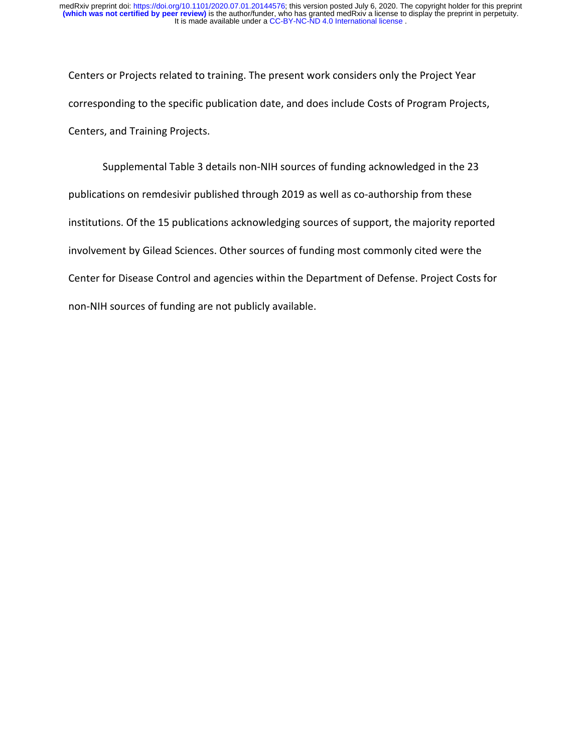Centers or Projects related to training. The present work considers only the Project Year corresponding to the specific publication date, and does include Costs of Program Projects, Centers, and Training Projects.

Supplemental Table 3 details non-NIH sources of funding acknowledged in the 23 publications on remdesivir published through 2019 as well as co-authorship from these institutions. Of the 15 publications acknowledging sources of support, the majority reported involvement by Gilead Sciences. Other sources of funding most commonly cited were the Center for Disease Control and agencies within the Department of Defense. Project Costs for non-NIH sources of funding are not publicly available.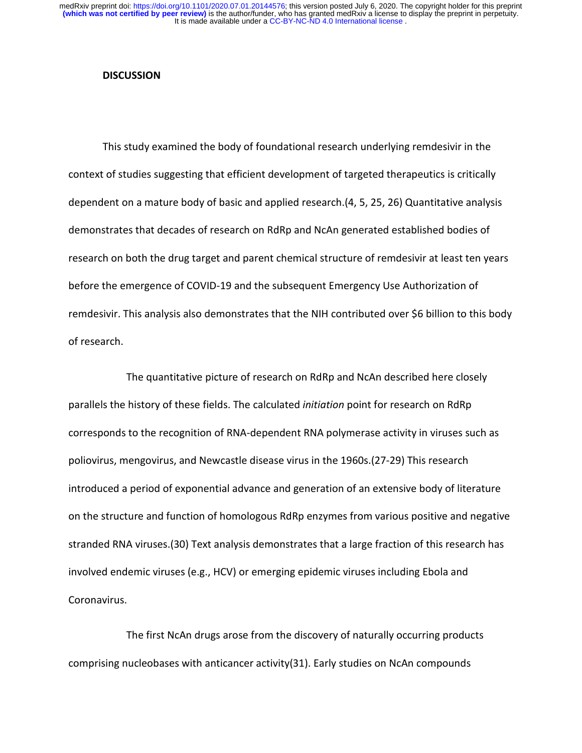#### **DISCUSSION**

This study examined the body of foundational research underlying remdesivir in the context of studies suggesting that efficient development of targeted therapeutics is critically dependent on a mature body of basic and applied research.(4, 5, 25, 26) Quantitative analysis demonstrates that decades of research on RdRp and NcAn generated established bodies of research on both the drug target and parent chemical structure of remdesivir at least ten years before the emergence of COVID-19 and the subsequent Emergency Use Authorization of remdesivir. This analysis also demonstrates that the NIH contributed over \$6 billion to this body of research.

The quantitative picture of research on RdRp and NcAn described here closely parallels the history of these fields. The calculated *initiation* point for research on RdRp corresponds to the recognition of RNA-dependent RNA polymerase activity in viruses such as poliovirus, mengovirus, and Newcastle disease virus in the 1960s.(27-29) This research introduced a period of exponential advance and generation of an extensive body of literature on the structure and function of homologous RdRp enzymes from various positive and negative stranded RNA viruses.(30) Text analysis demonstrates that a large fraction of this research has involved endemic viruses (e.g., HCV) or emerging epidemic viruses including Ebola and Coronavirus.

The first NcAn drugs arose from the discovery of naturally occurring products comprising nucleobases with anticancer activity(31). Early studies on NcAn compounds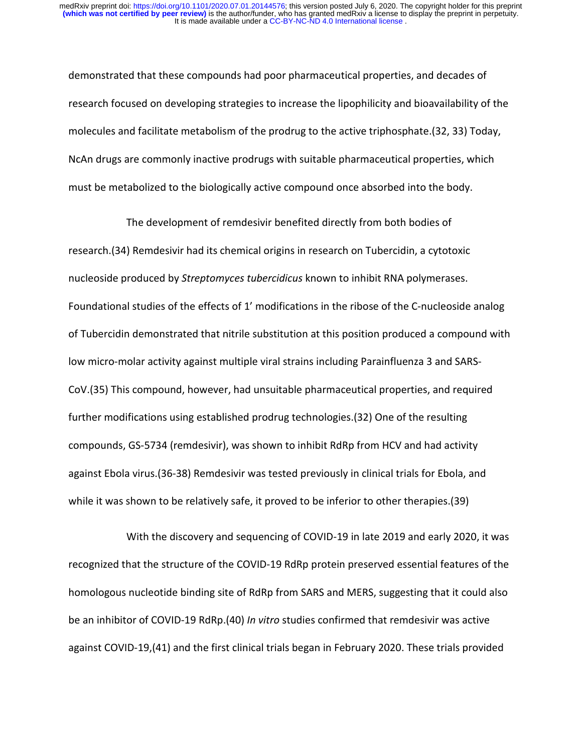demonstrated that these compounds had poor pharmaceutical properties, and decades of research focused on developing strategies to increase the lipophilicity and bioavailability of the molecules and facilitate metabolism of the prodrug to the active triphosphate.(32, 33) Today, NcAn drugs are commonly inactive prodrugs with suitable pharmaceutical properties, which must be metabolized to the biologically active compound once absorbed into the body.

The development of remdesivir benefited directly from both bodies of research.(34) Remdesivir had its chemical origins in research on Tubercidin, a cytotoxic nucleoside produced by *Streptomyces tubercidicus* known to inhibit RNA polymerases. Foundational studies of the effects of 1' modifications in the ribose of the C-nucleoside analog of Tubercidin demonstrated that nitrile substitution at this position produced a compound with low micro-molar activity against multiple viral strains including Parainfluenza 3 and SARS-CoV.(35) This compound, however, had unsuitable pharmaceutical properties, and required further modifications using established prodrug technologies.(32) One of the resulting compounds, GS-5734 (remdesivir), was shown to inhibit RdRp from HCV and had activity against Ebola virus.(36-38) Remdesivir was tested previously in clinical trials for Ebola, and while it was shown to be relatively safe, it proved to be inferior to other therapies.(39)

With the discovery and sequencing of COVID-19 in late 2019 and early 2020, it was recognized that the structure of the COVID-19 RdRp protein preserved essential features of the homologous nucleotide binding site of RdRp from SARS and MERS, suggesting that it could also be an inhibitor of COVID-19 RdRp.(40) *In vitro* studies confirmed that remdesivir was active against COVID-19,(41) and the first clinical trials began in February 2020. These trials provided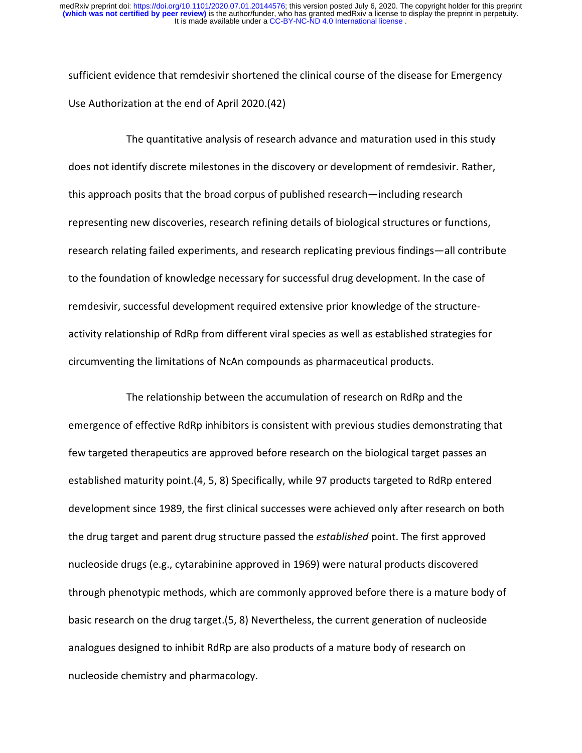sufficient evidence that remdesivir shortened the clinical course of the disease for Emergency Use Authorization at the end of April 2020.(42)

The quantitative analysis of research advance and maturation used in this study does not identify discrete milestones in the discovery or development of remdesivir. Rather, this approach posits that the broad corpus of published research—including research representing new discoveries, research refining details of biological structures or functions, research relating failed experiments, and research replicating previous findings—all contribute to the foundation of knowledge necessary for successful drug development. In the case of remdesivir, successful development required extensive prior knowledge of the structureactivity relationship of RdRp from different viral species as well as established strategies for circumventing the limitations of NcAn compounds as pharmaceutical products.

The relationship between the accumulation of research on RdRp and the emergence of effective RdRp inhibitors is consistent with previous studies demonstrating that few targeted therapeutics are approved before research on the biological target passes an established maturity point.(4, 5, 8) Specifically, while 97 products targeted to RdRp entered development since 1989, the first clinical successes were achieved only after research on both the drug target and parent drug structure passed the *established* point. The first approved nucleoside drugs (e.g., cytarabinine approved in 1969) were natural products discovered through phenotypic methods, which are commonly approved before there is a mature body of basic research on the drug target.(5, 8) Nevertheless, the current generation of nucleoside analogues designed to inhibit RdRp are also products of a mature body of research on nucleoside chemistry and pharmacology.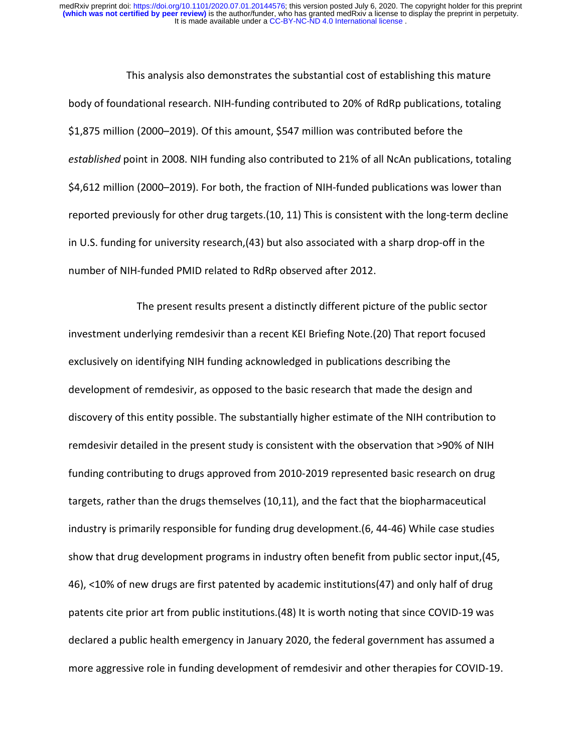This analysis also demonstrates the substantial cost of establishing this mature body of foundational research. NIH-funding contributed to 20% of RdRp publications, totaling \$1,875 million (2000–2019). Of this amount, \$547 million was contributed before the *established* point in 2008. NIH funding also contributed to 21% of all NcAn publications, totaling \$4,612 million (2000–2019). For both, the fraction of NIH-funded publications was lower than reported previously for other drug targets.(10, 11) This is consistent with the long-term decline in U.S. funding for university research,(43) but also associated with a sharp drop-off in the number of NIH-funded PMID related to RdRp observed after 2012.

The present results present a distinctly different picture of the public sector investment underlying remdesivir than a recent KEI Briefing Note.(20) That report focused exclusively on identifying NIH funding acknowledged in publications describing the development of remdesivir, as opposed to the basic research that made the design and discovery of this entity possible. The substantially higher estimate of the NIH contribution to remdesivir detailed in the present study is consistent with the observation that >90% of NIH funding contributing to drugs approved from 2010-2019 represented basic research on drug targets, rather than the drugs themselves (10,11), and the fact that the biopharmaceutical industry is primarily responsible for funding drug development.(6, 44-46) While case studies show that drug development programs in industry often benefit from public sector input,(45, 46), <10% of new drugs are first patented by academic institutions(47) and only half of drug patents cite prior art from public institutions.(48) It is worth noting that since COVID-19 was declared a public health emergency in January 2020, the federal government has assumed a more aggressive role in funding development of remdesivir and other therapies for COVID-19.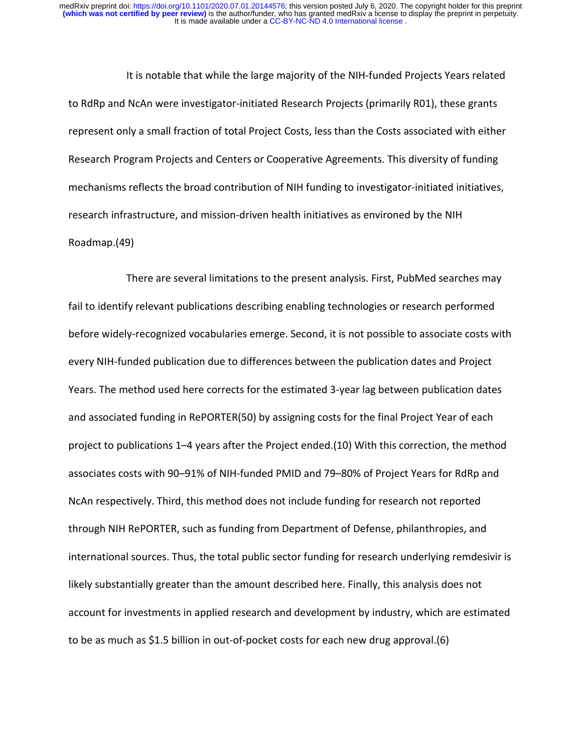It is notable that while the large majority of the NIH-funded Projects Years related to RdRp and NcAn were investigator-initiated Research Projects (primarily R01), these grants represent only a small fraction of total Project Costs, less than the Costs associated with either Research Program Projects and Centers or Cooperative Agreements. This diversity of funding mechanisms reflects the broad contribution of NIH funding to investigator-initiated initiatives, research infrastructure, and mission-driven health initiatives as environed by the NIH Roadmap.(49)

There are several limitations to the present analysis. First, PubMed searches may fail to identify relevant publications describing enabling technologies or research performed before widely-recognized vocabularies emerge. Second, it is not possible to associate costs with every NIH-funded publication due to differences between the publication dates and Project Years. The method used here corrects for the estimated 3-year lag between publication dates and associated funding in RePORTER(50) by assigning costs for the final Project Year of each project to publications 1–4 years after the Project ended.(10) With this correction, the method associates costs with 90–91% of NIH-funded PMID and 79–80% of Project Years for RdRp and NcAn respectively. Third, this method does not include funding for research not reported through NIH RePORTER, such as funding from Department of Defense, philanthropies, and international sources. Thus, the total public sector funding for research underlying remdesivir is likely substantially greater than the amount described here. Finally, this analysis does not account for investments in applied research and development by industry, which are estimated to be as much as \$1.5 billion in out-of-pocket costs for each new drug approval.(6)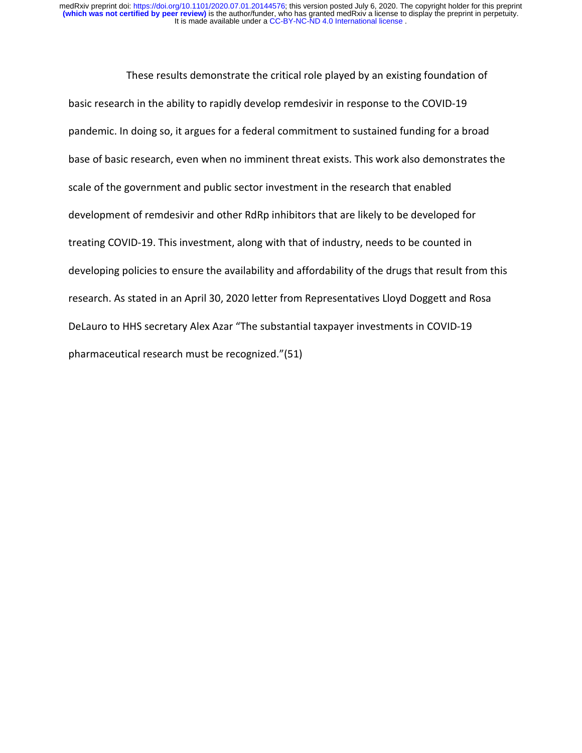These results demonstrate the critical role played by an existing foundation of basic research in the ability to rapidly develop remdesivir in response to the COVID-19 pandemic. In doing so, it argues for a federal commitment to sustained funding for a broad base of basic research, even when no imminent threat exists. This work also demonstrates the scale of the government and public sector investment in the research that enabled development of remdesivir and other RdRp inhibitors that are likely to be developed for treating COVID-19. This investment, along with that of industry, needs to be counted in developing policies to ensure the availability and affordability of the drugs that result from this research. As stated in an April 30, 2020 letter from Representatives Lloyd Doggett and Rosa DeLauro to HHS secretary Alex Azar "The substantial taxpayer investments in COVID-19 pharmaceutical research must be recognized."(51)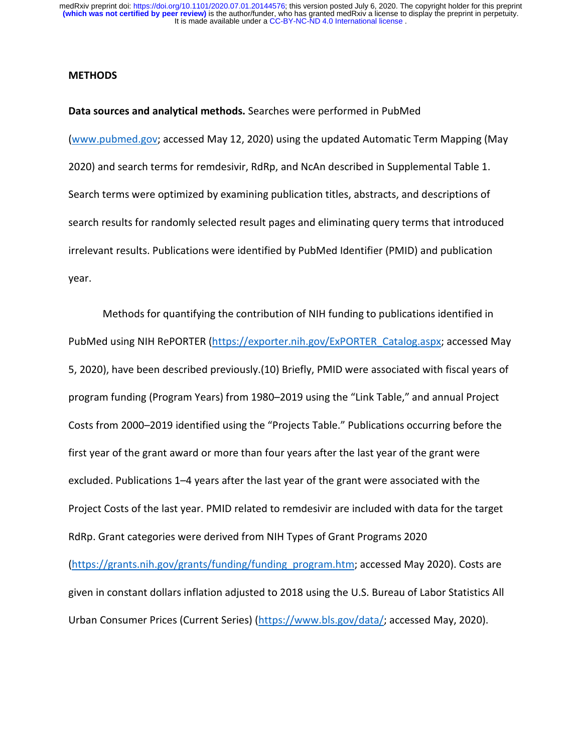#### **METHODS**

**Data sources and analytical methods.** Searches were performed in PubMed [\(www.pubmed.gov;](http://www.pubmed.gov/) accessed May 12, 2020) using the updated Automatic Term Mapping (May 2020) and search terms for remdesivir, RdRp, and NcAn described in Supplemental Table 1. Search terms were optimized by examining publication titles, abstracts, and descriptions of search results for randomly selected result pages and eliminating query terms that introduced irrelevant results. Publications were identified by PubMed Identifier (PMID) and publication year.

Methods for quantifying the contribution of NIH funding to publications identified in PubMed using NIH RePORTER [\(https://exporter.nih.gov/ExPORTER\\_Catalog.aspx;](https://exporter.nih.gov/ExPORTER_Catalog.aspx) accessed May 5, 2020), have been described previously.(10) Briefly, PMID were associated with fiscal years of program funding (Program Years) from 1980–2019 using the "Link Table," and annual Project Costs from 2000–2019 identified using the "Projects Table." Publications occurring before the first year of the grant award or more than four years after the last year of the grant were excluded. Publications 1–4 years after the last year of the grant were associated with the Project Costs of the last year. PMID related to remdesivir are included with data for the target RdRp. Grant categories were derived from NIH Types of Grant Programs 2020 [\(https://grants.nih.gov/grants/funding/funding\\_program.htm;](https://grants.nih.gov/grants/funding/funding_program.htm) accessed May 2020). Costs are given in constant dollars inflation adjusted to 2018 using the U.S. Bureau of Labor Statistics All

Urban Consumer Prices (Current Series) [\(https://www.bls.gov/data/;](https://www.bls.gov/data/) accessed May, 2020).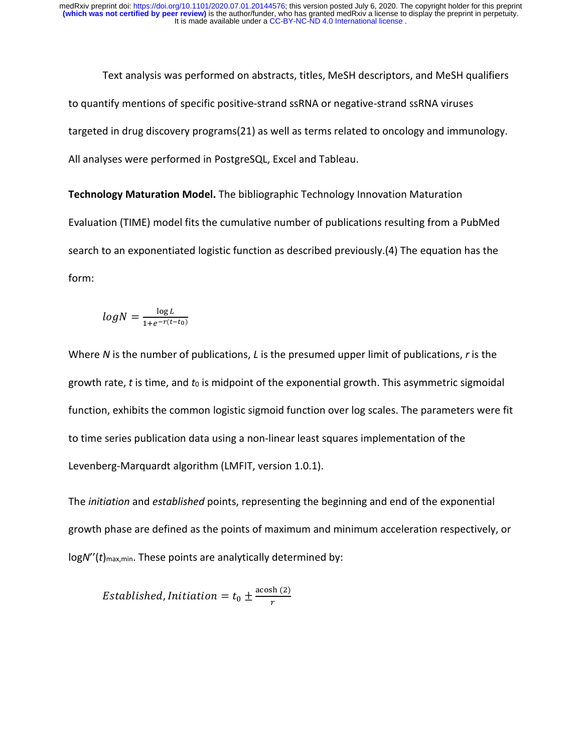Text analysis was performed on abstracts, titles, MeSH descriptors, and MeSH qualifiers to quantify mentions of specific positive-strand ssRNA or negative-strand ssRNA viruses targeted in drug discovery programs(21) as well as terms related to oncology and immunology. All analyses were performed in PostgreSQL, Excel and Tableau.

**Technology Maturation Model.** The bibliographic Technology Innovation Maturation Evaluation (TIME) model fits the cumulative number of publications resulting from a PubMed search to an exponentiated logistic function as described previously.(4) The equation has the form:

$$
log N = \frac{\log L}{1 + e^{-r(t - t_0)}}
$$

Where *N* is the number of publications, *L* is the presumed upper limit of publications, *r* is the growth rate, *t* is time, and *t*<sub>0</sub> is midpoint of the exponential growth. This asymmetric sigmoidal function, exhibits the common logistic sigmoid function over log scales. The parameters were fit to time series publication data using a non-linear least squares implementation of the Levenberg-Marquardt algorithm (LMFIT, version 1.0.1).

The *initiation* and *established* points, representing the beginning and end of the exponential growth phase are defined as the points of maximum and minimum acceleration respectively, or logN''(t)<sub>max,min</sub>. These points are analytically determined by:

Established, Initiation =  $t_0 \pm \frac{\arcsin(2)}{r}$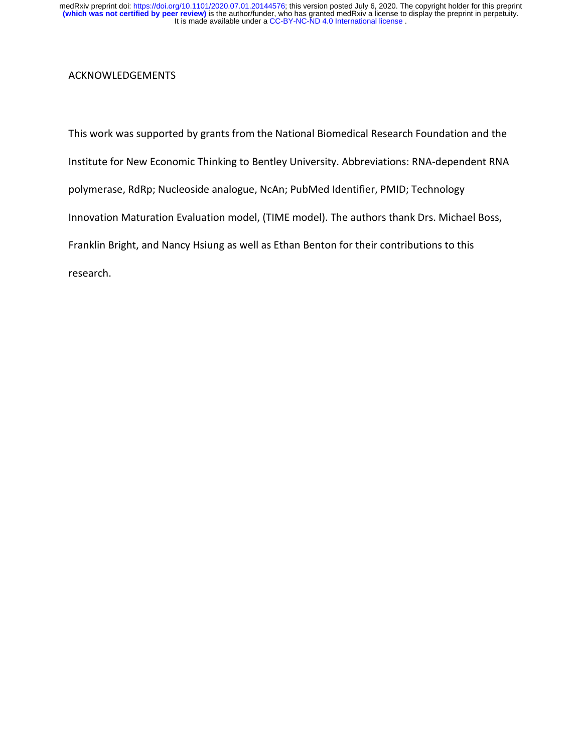## ACKNOWLEDGEMENTS

This work was supported by grants from the National Biomedical Research Foundation and the Institute for New Economic Thinking to Bentley University. Abbreviations: RNA-dependent RNA polymerase, RdRp; Nucleoside analogue, NcAn; PubMed Identifier, PMID; Technology Innovation Maturation Evaluation model, (TIME model). The authors thank Drs. Michael Boss, Franklin Bright, and Nancy Hsiung as well as Ethan Benton for their contributions to this research.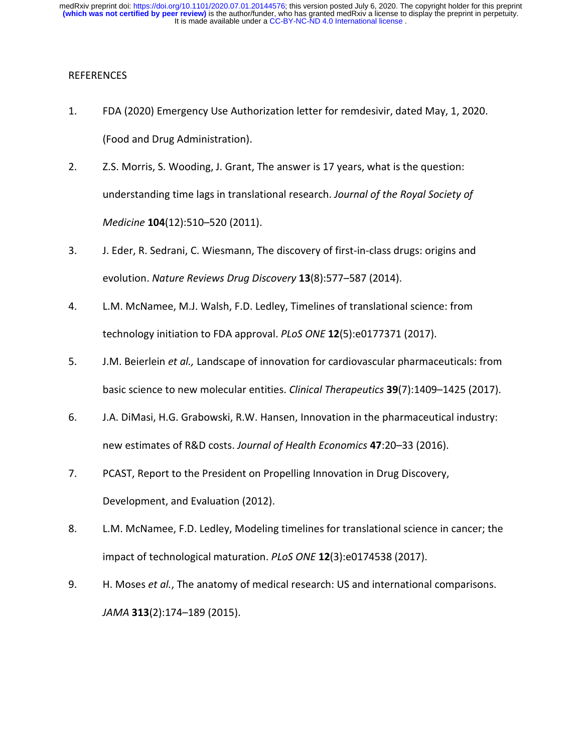### REFERENCES

- 1. FDA (2020) Emergency Use Authorization letter for remdesivir, dated May, 1, 2020. (Food and Drug Administration).
- 2. Z.S. Morris, S. Wooding, J. Grant, The answer is 17 years, what is the question: understanding time lags in translational research. *Journal of the Royal Society of Medicine* **104**(12):510–520 (2011).
- 3. J. Eder, R. Sedrani, C. Wiesmann, The discovery of first-in-class drugs: origins and evolution. *Nature Reviews Drug Discovery* **13**(8):577–587 (2014).
- 4. L.M. McNamee, M.J. Walsh, F.D. Ledley, Timelines of translational science: from technology initiation to FDA approval. *PLoS ONE* **12**(5):e0177371 (2017).
- 5. J.M. Beierlein *et al.,* Landscape of innovation for cardiovascular pharmaceuticals: from basic science to new molecular entities. *Clinical Therapeutics* **39**(7):1409–1425 (2017).
- 6. J.A. DiMasi, H.G. Grabowski, R.W. Hansen, Innovation in the pharmaceutical industry: new estimates of R&D costs. *Journal of Health Economics* **47**:20–33 (2016).
- 7. PCAST, Report to the President on Propelling Innovation in Drug Discovery, Development, and Evaluation (2012).
- 8. L.M. McNamee, F.D. Ledley, Modeling timelines for translational science in cancer; the impact of technological maturation. *PLoS ONE* **12**(3):e0174538 (2017).
- 9. H. Moses *et al.*, The anatomy of medical research: US and international comparisons. *JAMA* **313**(2):174–189 (2015).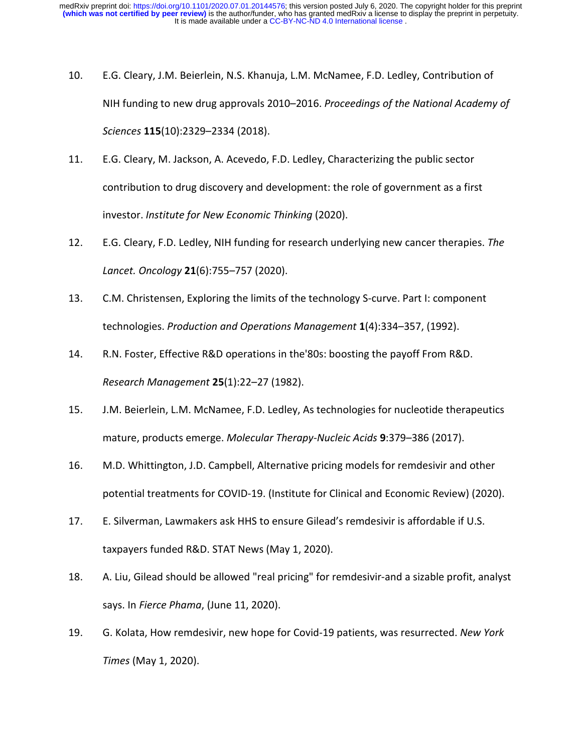- 10. E.G. Cleary, J.M. Beierlein, N.S. Khanuja, L.M. McNamee, F.D. Ledley, Contribution of NIH funding to new drug approvals 2010–2016. *Proceedings of the National Academy of Sciences* **115**(10):2329–2334 (2018).
- 11. E.G. Cleary, M. Jackson, A. Acevedo, F.D. Ledley, Characterizing the public sector contribution to drug discovery and development: the role of government as a first investor. *Institute for New Economic Thinking* (2020).
- 12. E.G. Cleary, F.D. Ledley, NIH funding for research underlying new cancer therapies. *The Lancet. Oncology* **21**(6):755–757 (2020).
- 13. C.M. Christensen, Exploring the limits of the technology S-curve. Part I: component technologies. *Production and Operations Management* **1**(4):334–357, (1992).
- 14. R.N. Foster, Effective R&D operations in the'80s: boosting the payoff From R&D. *Research Management* **25**(1):22–27 (1982).
- 15. J.M. Beierlein, L.M. McNamee, F.D. Ledley, As technologies for nucleotide therapeutics mature, products emerge. *Molecular Therapy-Nucleic Acids* **9**:379–386 (2017).
- 16. M.D. Whittington, J.D. Campbell, Alternative pricing models for remdesivir and other potential treatments for COVID-19. (Institute for Clinical and Economic Review) (2020).
- 17. E. Silverman, Lawmakers ask HHS to ensure Gilead's remdesivir is affordable if U.S. taxpayers funded R&D. STAT News (May 1, 2020).
- 18. A. Liu, Gilead should be allowed "real pricing" for remdesivir-and a sizable profit, analyst says. In *Fierce Phama*, (June 11, 2020).
- 19. G. Kolata, How remdesivir, new hope for Covid-19 patients, was resurrected. *New York Times* (May 1, 2020).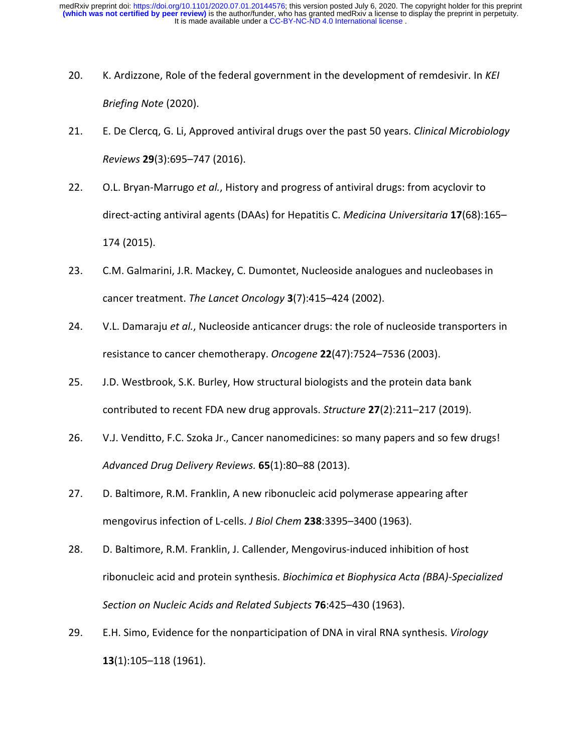It is made available under a [CC-BY-NC-ND 4.0 International license](http://creativecommons.org/licenses/by-nc-nd/4.0/) . **(which was not certified by peer review)** is the author/funder, who has granted medRxiv a license to display the preprint in perpetuity. medRxiv preprint doi: [https://doi.org/10.1101/2020.07.01.20144576;](https://doi.org/10.1101/2020.07.01.20144576) this version posted July 6, 2020. The copyright holder for this preprint

- 20. K. Ardizzone, Role of the federal government in the development of remdesivir. In *KEI Briefing Note* (2020).
- 21. E. De Clercq, G. Li, Approved antiviral drugs over the past 50 years. *Clinical Microbiology Reviews* **29**(3):695–747 (2016).
- 22. O.L. Bryan-Marrugo *et al.*, History and progress of antiviral drugs: from acyclovir to direct-acting antiviral agents (DAAs) for Hepatitis C. *Medicina Universitaria* **17**(68):165– 174 (2015).
- 23. C.M. Galmarini, J.R. Mackey, C. Dumontet, Nucleoside analogues and nucleobases in cancer treatment. *The Lancet Oncology* **3**(7):415–424 (2002).
- 24. V.L. Damaraju *et al.*, Nucleoside anticancer drugs: the role of nucleoside transporters in resistance to cancer chemotherapy. *Oncogene* **22**(47):7524–7536 (2003).
- 25. J.D. Westbrook, S.K. Burley, How structural biologists and the protein data bank contributed to recent FDA new drug approvals. *Structure* **27**(2):211–217 (2019).
- 26. V.J. Venditto, F.C. Szoka Jr., Cancer nanomedicines: so many papers and so few drugs! *Advanced Drug Delivery Reviews.* **65**(1):80–88 (2013).
- 27. D. Baltimore, R.M. Franklin, A new ribonucleic acid polymerase appearing after mengovirus infection of L-cells. *J Biol Chem* **238**:3395–3400 (1963).
- 28. D. Baltimore, R.M. Franklin, J. Callender, Mengovirus-induced inhibition of host ribonucleic acid and protein synthesis. *Biochimica et Biophysica Acta (BBA)-Specialized Section on Nucleic Acids and Related Subjects* **76**:425–430 (1963).
- 29. E.H. Simo, Evidence for the nonparticipation of DNA in viral RNA synthesis. *Virology* **13**(1):105–118 (1961).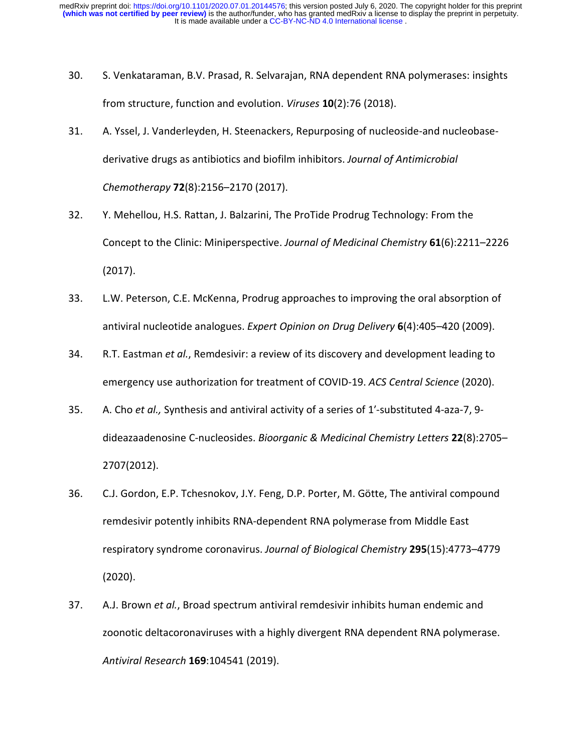- 30. S. Venkataraman, B.V. Prasad, R. Selvarajan, RNA dependent RNA polymerases: insights from structure, function and evolution. *Viruses* **10**(2):76 (2018).
- 31. A. Yssel, J. Vanderleyden, H. Steenackers, Repurposing of nucleoside-and nucleobasederivative drugs as antibiotics and biofilm inhibitors. *Journal of Antimicrobial Chemotherapy* **72**(8):2156–2170 (2017).
- 32. Y. Mehellou, H.S. Rattan, J. Balzarini, The ProTide Prodrug Technology: From the Concept to the Clinic: Miniperspective. *Journal of Medicinal Chemistry* **61**(6):2211–2226 (2017).
- 33. L.W. Peterson, C.E. McKenna, Prodrug approaches to improving the oral absorption of antiviral nucleotide analogues. *Expert Opinion on Drug Delivery* **6**(4):405–420 (2009).
- 34. R.T. Eastman *et al.*, Remdesivir: a review of its discovery and development leading to emergency use authorization for treatment of COVID-19. *ACS Central Science* (2020).
- 35. A. Cho *et al.,* Synthesis and antiviral activity of a series of 1′-substituted 4-aza-7, 9 dideazaadenosine C-nucleosides. *Bioorganic & Medicinal Chemistry Letters* **22**(8):2705– 2707(2012).
- 36. C.J. Gordon, E.P. Tchesnokov, J.Y. Feng, D.P. Porter, M. Götte, The antiviral compound remdesivir potently inhibits RNA-dependent RNA polymerase from Middle East respiratory syndrome coronavirus. *Journal of Biological Chemistry* **295**(15):4773–4779 (2020).
- 37. A.J. Brown *et al.*, Broad spectrum antiviral remdesivir inhibits human endemic and zoonotic deltacoronaviruses with a highly divergent RNA dependent RNA polymerase. *Antiviral Research* **169**:104541 (2019).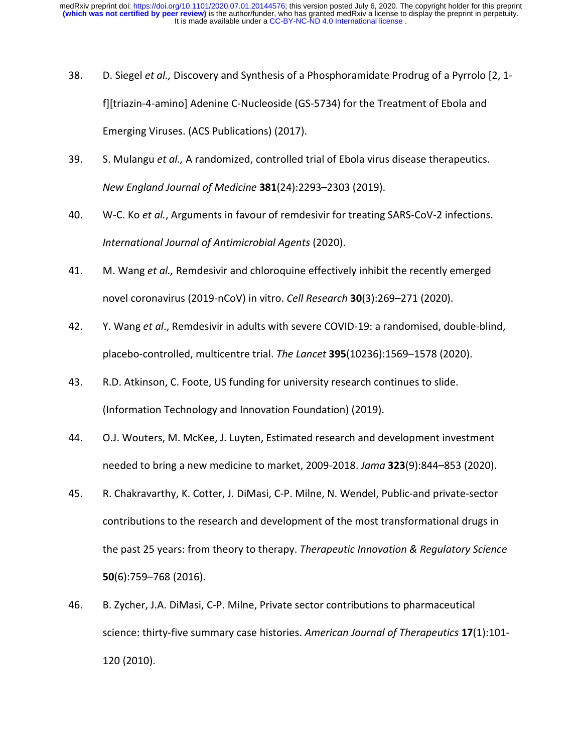- 38. D. Siegel *et al.,* Discovery and Synthesis of a Phosphoramidate Prodrug of a Pyrrolo [2, 1 f][triazin-4-amino] Adenine C-Nucleoside (GS-5734) for the Treatment of Ebola and Emerging Viruses. (ACS Publications) (2017).
- 39. S. Mulangu *et al.,* A randomized, controlled trial of Ebola virus disease therapeutics. *New England Journal of Medicine* **381**(24):2293–2303 (2019).
- 40. W-C. Ko *et al.*, Arguments in favour of remdesivir for treating SARS-CoV-2 infections. *International Journal of Antimicrobial Agents* (2020).
- 41. M. Wang *et al.,* Remdesivir and chloroquine effectively inhibit the recently emerged novel coronavirus (2019-nCoV) in vitro. *Cell Research* **30**(3):269–271 (2020).
- 42. Y. Wang *et al*., Remdesivir in adults with severe COVID-19: a randomised, double-blind, placebo-controlled, multicentre trial. *The Lancet* **395**(10236):1569–1578 (2020).
- 43. R.D. Atkinson, C. Foote, US funding for university research continues to slide. (Information Technology and Innovation Foundation) (2019).
- 44. O.J. Wouters, M. McKee, J. Luyten, Estimated research and development investment needed to bring a new medicine to market, 2009-2018. *Jama* **323**(9):844–853 (2020).
- 45. R. Chakravarthy, K. Cotter, J. DiMasi, C-P. Milne, N. Wendel, Public-and private-sector contributions to the research and development of the most transformational drugs in the past 25 years: from theory to therapy. *Therapeutic Innovation & Regulatory Science* **50**(6):759–768 (2016).
- 46. B. Zycher, J.A. DiMasi, C-P. Milne, Private sector contributions to pharmaceutical science: thirty-five summary case histories. *American Journal of Therapeutics* **17**(1):101- 120 (2010).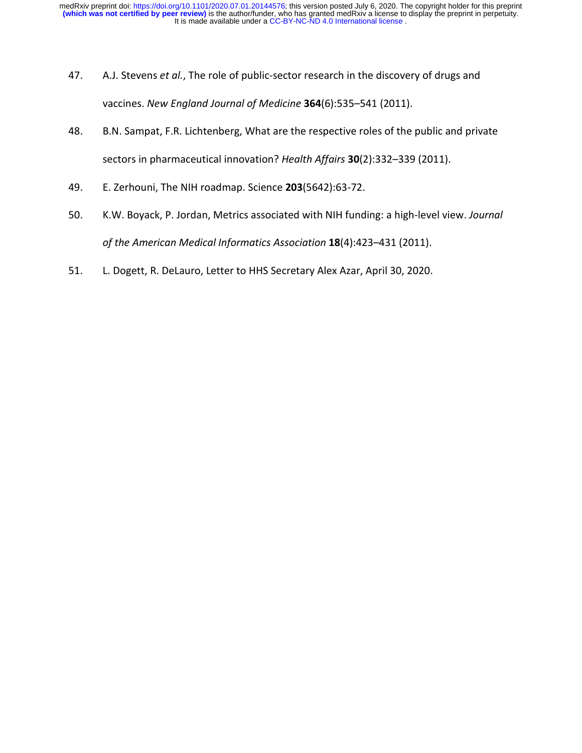- 47. A.J. Stevens *et al.*, The role of public-sector research in the discovery of drugs and vaccines. *New England Journal of Medicine* **364**(6):535–541 (2011).
- 48. B.N. Sampat, F.R. Lichtenberg, What are the respective roles of the public and private sectors in pharmaceutical innovation? *Health Affairs* **30**(2):332–339 (2011).
- 49. E. Zerhouni, The NIH roadmap. Science **203**(5642):63-72.
- 50. K.W. Boyack, P. Jordan, Metrics associated with NIH funding: a high-level view. *Journal of the American Medical Informatics Association* **18**(4):423–431 (2011).
- 51. L. Dogett, R. DeLauro, Letter to HHS Secretary Alex Azar, April 30, 2020.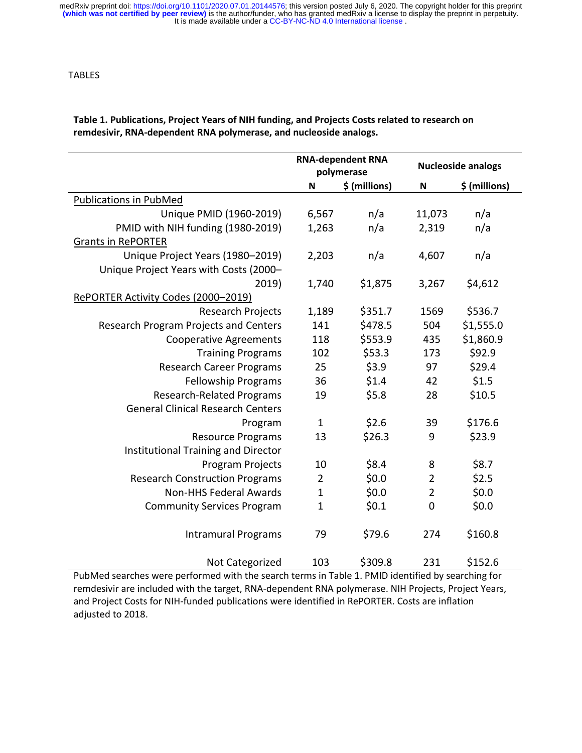| Table 1. Publications, Project Years of NIH funding, and Projects Costs related to research on |
|------------------------------------------------------------------------------------------------|
| remdesivir, RNA-dependent RNA polymerase, and nucleoside analogs.                              |

|                                          | <b>RNA-dependent RNA</b><br>polymerase |               | <b>Nucleoside analogs</b> |               |
|------------------------------------------|----------------------------------------|---------------|---------------------------|---------------|
|                                          | $\boldsymbol{\mathsf{N}}$              | \$ (millions) | $\boldsymbol{\mathsf{N}}$ | \$ (millions) |
| <b>Publications in PubMed</b>            |                                        |               |                           |               |
| Unique PMID (1960-2019)                  | 6,567                                  | n/a           | 11,073                    | n/a           |
| PMID with NIH funding (1980-2019)        | 1,263                                  | n/a           | 2,319                     | n/a           |
| <b>Grants in RePORTER</b>                |                                        |               |                           |               |
| Unique Project Years (1980-2019)         | 2,203                                  | n/a           | 4,607                     | n/a           |
| Unique Project Years with Costs (2000-   |                                        |               |                           |               |
| 2019)                                    | 1,740                                  | \$1,875       | 3,267                     | \$4,612       |
| RePORTER Activity Codes (2000-2019)      |                                        |               |                           |               |
| Research Projects                        | 1,189                                  | \$351.7       | 1569                      | \$536.7       |
| Research Program Projects and Centers    | 141                                    | \$478.5       | 504                       | \$1,555.0     |
| <b>Cooperative Agreements</b>            | 118                                    | \$553.9       | 435                       | \$1,860.9     |
| <b>Training Programs</b>                 | 102                                    | \$53.3        | 173                       | \$92.9        |
| <b>Research Career Programs</b>          | 25                                     | \$3.9         | 97                        | \$29.4        |
| <b>Fellowship Programs</b>               | 36                                     | \$1.4         | 42                        | \$1.5         |
| <b>Research-Related Programs</b>         | 19                                     | \$5.8         | 28                        | \$10.5        |
| <b>General Clinical Research Centers</b> |                                        |               |                           |               |
| Program                                  | $\mathbf{1}$                           | \$2.6         | 39                        | \$176.6       |
| <b>Resource Programs</b>                 | 13                                     | \$26.3        | 9                         | \$23.9        |
| Institutional Training and Director      |                                        |               |                           |               |
| Program Projects                         | 10                                     | \$8.4         | 8                         | \$8.7         |
| <b>Research Construction Programs</b>    | $\overline{2}$                         | \$0.0\$       | $\overline{2}$            | \$2.5         |
| <b>Non-HHS Federal Awards</b>            | $\mathbf 1$                            | \$0.0\$       | $\overline{2}$            | \$0.0\$       |
| <b>Community Services Program</b>        | $\mathbf{1}$                           | \$0.1         | $\mathbf 0$               | \$0.0\$       |
| <b>Intramural Programs</b>               | 79                                     | \$79.6        | 274                       | \$160.8       |
| Not Categorized                          | 103                                    | \$309.8       | 231                       | \$152.6       |

PubMed searches were performed with the search terms in Table 1. PMID identified by searching for remdesivir are included with the target, RNA-dependent RNA polymerase. NIH Projects, Project Years, and Project Costs for NIH-funded publications were identified in RePORTER. Costs are inflation adjusted to 2018.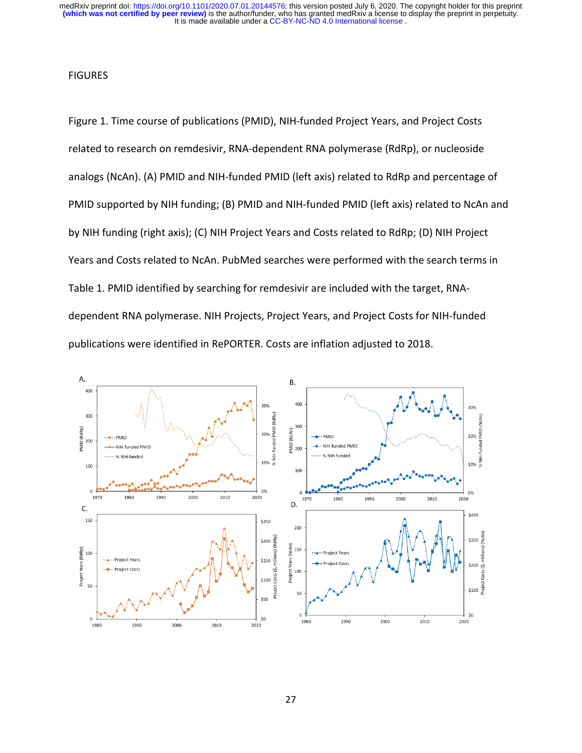It is made available under a [CC-BY-NC-ND 4.0 International license](http://creativecommons.org/licenses/by-nc-nd/4.0/) . **(which was not certified by peer review)** is the author/funder, who has granted medRxiv a license to display the preprint in perpetuity. medRxiv preprint doi: [https://doi.org/10.1101/2020.07.01.20144576;](https://doi.org/10.1101/2020.07.01.20144576) this version posted July 6, 2020. The copyright holder for this preprint

#### **FIGURES**

Figure 1. Time course of publications (PMID), NIH-funded Project Years, and Project Costs related to research on remdesivir, RNA-dependent RNA polymerase (RdRp), or nucleoside analogs (NcAn). (A) PMID and NIH-funded PMID (left axis) related to RdRp and percentage of PMID supported by NIH funding; (B) PMID and NIH-funded PMID (left axis) related to NcAn and by NIH funding (right axis); (C) NIH Project Years and Costs related to RdRp; (D) NIH Project Years and Costs related to NcAn. PubMed searches were performed with the search terms in Table 1. PMID identified by searching for remdesivir are included with the target, RNAdependent RNA polymerase. NIH Projects, Project Years, and Project Costs for NIH-funded publications were identified in RePORTER. Costs are inflation adjusted to 2018.

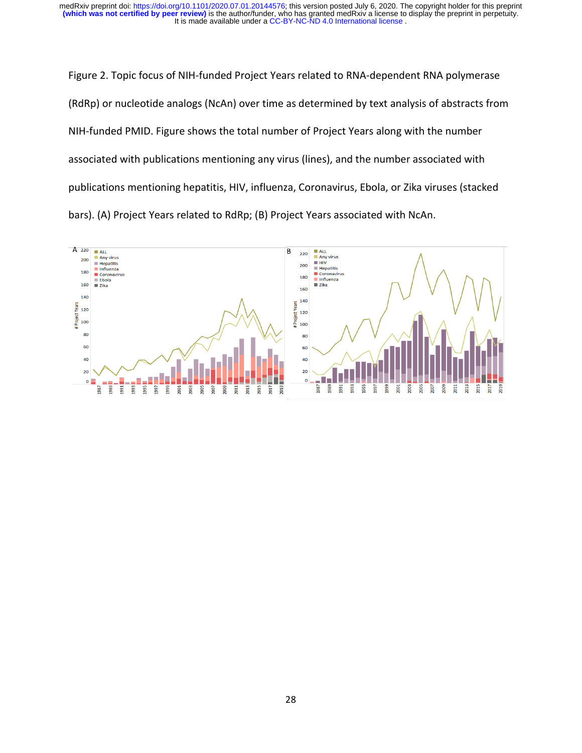It is made available under a [CC-BY-NC-ND 4.0 International license](http://creativecommons.org/licenses/by-nc-nd/4.0/) . **(which was not certified by peer review)** is the author/funder, who has granted medRxiv a license to display the preprint in perpetuity. medRxiv preprint doi: [https://doi.org/10.1101/2020.07.01.20144576;](https://doi.org/10.1101/2020.07.01.20144576) this version posted July 6, 2020. The copyright holder for this preprint

Figure 2. Topic focus of NIH-funded Project Years related to RNA-dependent RNA polymerase (RdRp) or nucleotide analogs (NcAn) over time as determined by text analysis of abstracts from NIH-funded PMID. Figure shows the total number of Project Years along with the number associated with publications mentioning any virus (lines), and the number associated with publications mentioning hepatitis, HIV, influenza, Coronavirus, Ebola, or Zika viruses (stacked bars). (A) Project Years related to RdRp; (B) Project Years associated with NcAn.

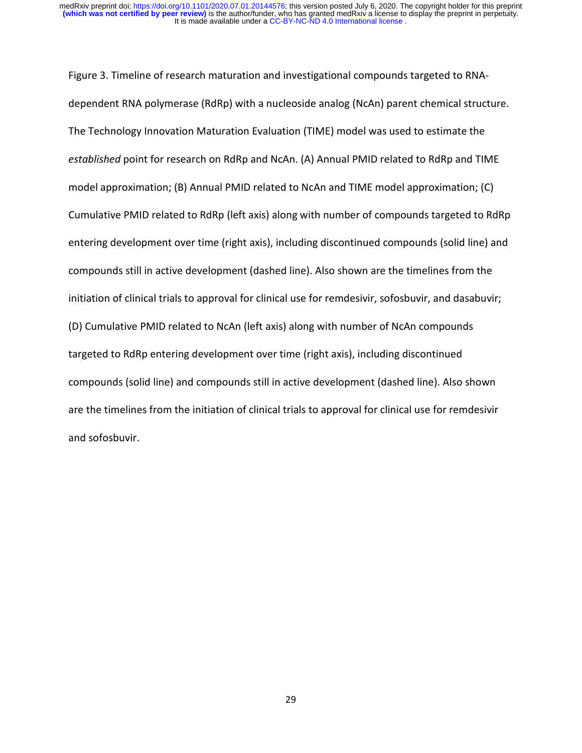Figure 3. Timeline of research maturation and investigational compounds targeted to RNAdependent RNA polymerase (RdRp) with a nucleoside analog (NcAn) parent chemical structure. The Technology Innovation Maturation Evaluation (TIME) model was used to estimate the *established* point for research on RdRp and NcAn. (A) Annual PMID related to RdRp and TIME model approximation; (B) Annual PMID related to NcAn and TIME model approximation; (C) Cumulative PMID related to RdRp (left axis) along with number of compounds targeted to RdRp entering development over time (right axis), including discontinued compounds (solid line) and compounds still in active development (dashed line). Also shown are the timelines from the initiation of clinical trials to approval for clinical use for remdesivir, sofosbuvir, and dasabuvir; (D) Cumulative PMID related to NcAn (left axis) along with number of NcAn compounds targeted to RdRp entering development over time (right axis), including discontinued compounds (solid line) and compounds still in active development (dashed line). Also shown are the timelines from the initiation of clinical trials to approval for clinical use for remdesivir and sofosbuvir.